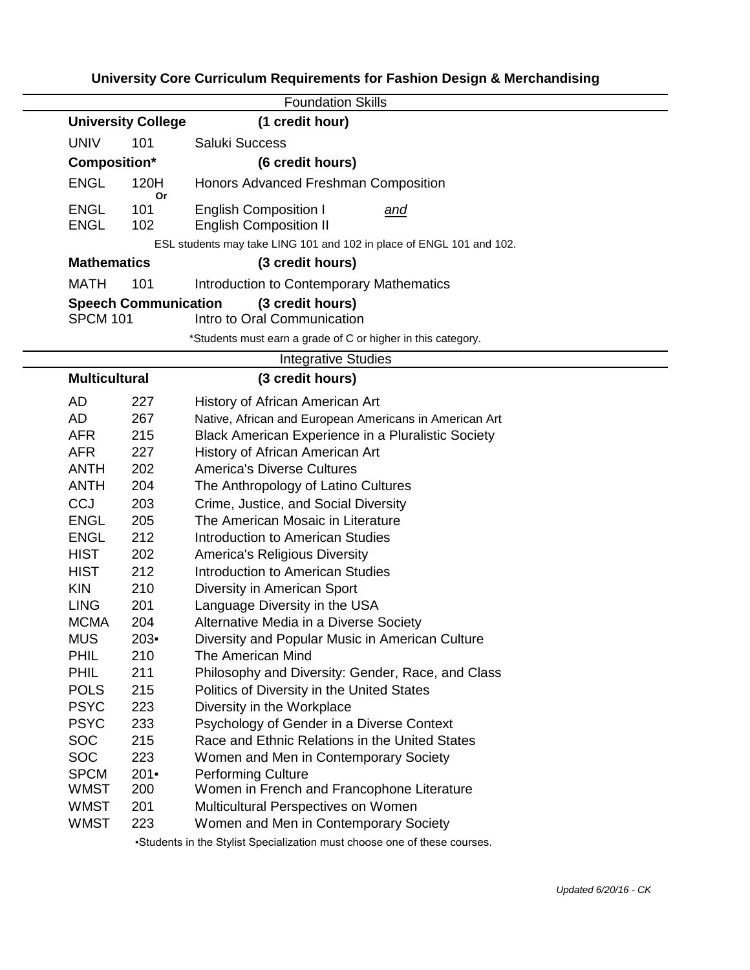## **University Core Curriculum Requirements for Fashion Design & Merchandising**

|                             |            | <b>Foundation Skills</b>                                                    |
|-----------------------------|------------|-----------------------------------------------------------------------------|
| <b>University College</b>   |            | (1 credit hour)                                                             |
| <b>UNIV</b>                 | 101        | Saluki Success                                                              |
| Composition*                |            | (6 credit hours)                                                            |
| <b>ENGL</b>                 | 120H<br>Or | Honors Advanced Freshman Composition                                        |
| <b>ENGL</b><br><b>ENGL</b>  | 101<br>102 | <b>English Composition I</b><br><u>and</u><br><b>English Composition II</b> |
|                             |            | ESL students may take LING 101 and 102 in place of ENGL 101 and 102.        |
| <b>Mathematics</b>          |            | (3 credit hours)                                                            |
| <b>MATH</b>                 | 101        | Introduction to Contemporary Mathematics                                    |
| <b>Speech Communication</b> |            | (3 credit hours)                                                            |
| <b>SPCM 101</b>             |            | Intro to Oral Communication                                                 |
|                             |            | *Students must earn a grade of C or higher in this category.                |
|                             |            | <b>Integrative Studies</b>                                                  |
| <b>Multicultural</b>        |            | (3 credit hours)                                                            |
| AD                          | 227        | History of African American Art                                             |
| AD                          | 267        | Native, African and European Americans in American Art                      |
| <b>AFR</b>                  | 215        | Black American Experience in a Pluralistic Society                          |
| <b>AFR</b>                  | 227        | History of African American Art                                             |
| <b>ANTH</b>                 | 202        | <b>America's Diverse Cultures</b>                                           |
| <b>ANTH</b>                 | 204        | The Anthropology of Latino Cultures                                         |
| <b>CCJ</b>                  | 203        | Crime, Justice, and Social Diversity                                        |
| <b>ENGL</b>                 | 205        | The American Mosaic in Literature                                           |
| <b>ENGL</b>                 | 212        | <b>Introduction to American Studies</b>                                     |
| <b>HIST</b>                 | 202        | <b>America's Religious Diversity</b>                                        |
| <b>HIST</b>                 | 212        | <b>Introduction to American Studies</b>                                     |
| <b>KIN</b>                  | 210        | Diversity in American Sport                                                 |
| <b>LING</b>                 | 201        | Language Diversity in the USA                                               |
| <b>MCMA</b>                 | 204        | Alternative Media in a Diverse Society                                      |
| <b>MUS</b>                  | $203 -$    | Diversity and Popular Music in American Culture                             |
| PHIL                        | 210        | The American Mind                                                           |
| <b>PHIL</b>                 | 211        | Philosophy and Diversity: Gender, Race, and Class                           |
| <b>POLS</b>                 | 215        | Politics of Diversity in the United States                                  |
| <b>PSYC</b>                 | 223        | Diversity in the Workplace                                                  |
| <b>PSYC</b>                 | 233        | Psychology of Gender in a Diverse Context                                   |
| <b>SOC</b>                  | 215        | Race and Ethnic Relations in the United States                              |
| <b>SOC</b>                  | 223        | Women and Men in Contemporary Society                                       |
| <b>SPCM</b>                 | $201 -$    | <b>Performing Culture</b>                                                   |
| <b>WMST</b>                 | 200        | Women in French and Francophone Literature                                  |
| <b>WMST</b>                 | 201        | Multicultural Perspectives on Women                                         |
| <b>WMST</b>                 | 223        | Women and Men in Contemporary Society                                       |
|                             |            | -Students in the Stylist Specialization must choose one of these courses.   |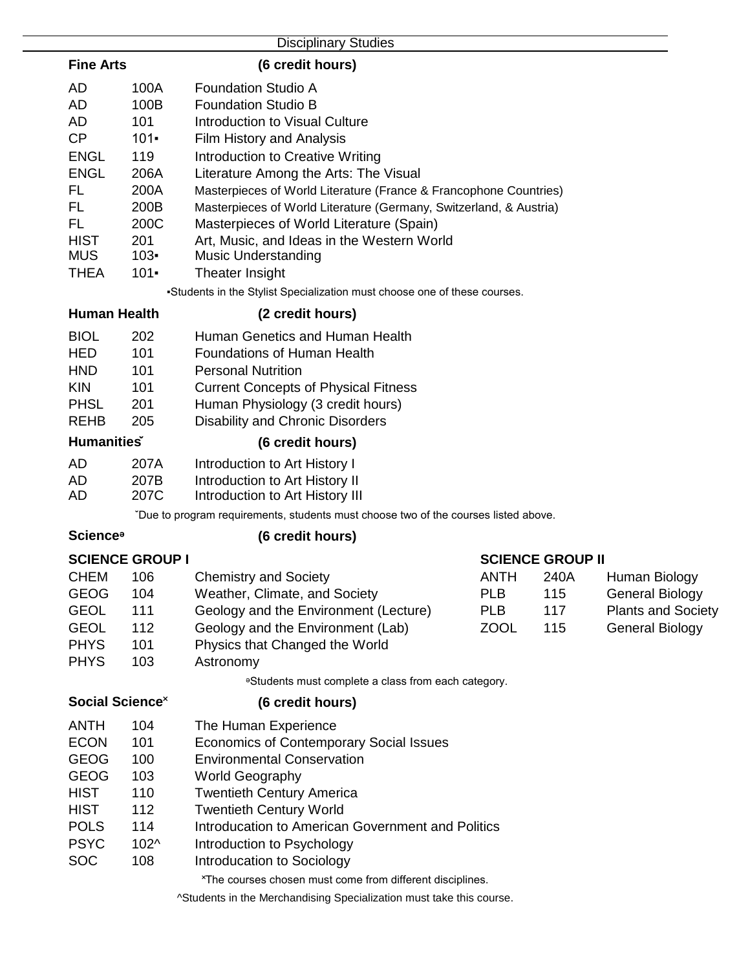|                                      |                        | <b>Disciplinary Studies</b>                                                         |             |                         |                           |  |  |  |
|--------------------------------------|------------------------|-------------------------------------------------------------------------------------|-------------|-------------------------|---------------------------|--|--|--|
| <b>Fine Arts</b><br>(6 credit hours) |                        |                                                                                     |             |                         |                           |  |  |  |
| AD                                   | 100A                   | <b>Foundation Studio A</b>                                                          |             |                         |                           |  |  |  |
| AD                                   | 100B                   | <b>Foundation Studio B</b>                                                          |             |                         |                           |  |  |  |
| AD                                   | 101                    | <b>Introduction to Visual Culture</b>                                               |             |                         |                           |  |  |  |
| CP                                   | $101 -$                | Film History and Analysis                                                           |             |                         |                           |  |  |  |
| <b>ENGL</b>                          | 119                    | Introduction to Creative Writing                                                    |             |                         |                           |  |  |  |
| <b>ENGL</b>                          | 206A                   | Literature Among the Arts: The Visual                                               |             |                         |                           |  |  |  |
| FL                                   | 200A                   | Masterpieces of World Literature (France & Francophone Countries)                   |             |                         |                           |  |  |  |
| <b>FL</b>                            | 200B                   | Masterpieces of World Literature (Germany, Switzerland, & Austria)                  |             |                         |                           |  |  |  |
| FL                                   | 200C                   | Masterpieces of World Literature (Spain)                                            |             |                         |                           |  |  |  |
| <b>HIST</b>                          | 201                    | Art, Music, and Ideas in the Western World                                          |             |                         |                           |  |  |  |
| <b>MUS</b>                           | $103 -$                | <b>Music Understanding</b>                                                          |             |                         |                           |  |  |  |
| <b>THEA</b>                          | $101 -$                | Theater Insight                                                                     |             |                         |                           |  |  |  |
|                                      |                        | -Students in the Stylist Specialization must choose one of these courses.           |             |                         |                           |  |  |  |
| <b>Human Health</b>                  |                        | (2 credit hours)                                                                    |             |                         |                           |  |  |  |
| <b>BIOL</b>                          | 202                    | Human Genetics and Human Health                                                     |             |                         |                           |  |  |  |
| <b>HED</b>                           | 101                    | <b>Foundations of Human Health</b>                                                  |             |                         |                           |  |  |  |
| <b>HND</b>                           | 101                    | <b>Personal Nutrition</b>                                                           |             |                         |                           |  |  |  |
| <b>KIN</b>                           | 101                    | <b>Current Concepts of Physical Fitness</b>                                         |             |                         |                           |  |  |  |
| <b>PHSL</b>                          | 201                    | Human Physiology (3 credit hours)                                                   |             |                         |                           |  |  |  |
| <b>REHB</b>                          | 205                    | <b>Disability and Chronic Disorders</b>                                             |             |                         |                           |  |  |  |
| <b>Humanities</b>                    |                        | (6 credit hours)                                                                    |             |                         |                           |  |  |  |
| <b>AD</b>                            | 207A                   | Introduction to Art History I                                                       |             |                         |                           |  |  |  |
| AD                                   | 207B                   | Introduction to Art History II                                                      |             |                         |                           |  |  |  |
| AD                                   | 207C                   | Introduction to Art History III                                                     |             |                         |                           |  |  |  |
|                                      |                        | "Due to program requirements, students must choose two of the courses listed above. |             |                         |                           |  |  |  |
| <b>Science</b> <sup>®</sup>          |                        | (6 credit hours)                                                                    |             |                         |                           |  |  |  |
|                                      | <b>SCIENCE GROUP I</b> |                                                                                     |             | <b>SCIENCE GROUP II</b> |                           |  |  |  |
| <b>CHEM</b>                          | 106                    | <b>Chemistry and Society</b>                                                        | <b>ANTH</b> | 240A                    | Human Biology             |  |  |  |
| <b>GEOG</b>                          | 104                    | Weather, Climate, and Society                                                       | <b>PLB</b>  | 115                     | <b>General Biology</b>    |  |  |  |
| <b>GEOL</b>                          | 111                    | Geology and the Environment (Lecture)                                               | <b>PLB</b>  | 117                     | <b>Plants and Society</b> |  |  |  |
| <b>GEOL</b>                          | 112                    | Geology and the Environment (Lab)                                                   | <b>ZOOL</b> | 115                     | <b>General Biology</b>    |  |  |  |
| <b>PHYS</b>                          | 101                    | Physics that Changed the World                                                      |             |                         |                           |  |  |  |
| <b>PHYS</b>                          | 103                    | Astronomy                                                                           |             |                         |                           |  |  |  |
|                                      |                        | <sup>e</sup> Students must complete a class from each category.                     |             |                         |                           |  |  |  |
| Social Science <sup>x</sup>          |                        | (6 credit hours)                                                                    |             |                         |                           |  |  |  |
| <b>ANTH</b>                          | 104                    | The Human Experience                                                                |             |                         |                           |  |  |  |
| <b>ECON</b>                          | 101                    | <b>Economics of Contemporary Social Issues</b>                                      |             |                         |                           |  |  |  |
| <b>GEOG</b>                          | 100                    | <b>Environmental Conservation</b>                                                   |             |                         |                           |  |  |  |
| <b>GEOG</b>                          | 103                    | <b>World Geography</b>                                                              |             |                         |                           |  |  |  |
| <b>HIST</b>                          | 110                    | <b>Twentieth Century America</b>                                                    |             |                         |                           |  |  |  |
| <b>HIST</b>                          | 112                    | <b>Twentieth Century World</b>                                                      |             |                         |                           |  |  |  |
| <b>POLS</b>                          | 114                    | <b>Introducation to American Government and Politics</b>                            |             |                         |                           |  |  |  |
| <b>PSYC</b>                          | 102^                   | Introduction to Psychology                                                          |             |                         |                           |  |  |  |
| <b>SOC</b>                           | 108                    | Introducation to Sociology                                                          |             |                         |                           |  |  |  |
|                                      |                        | *The courses chosen must come from different disciplines.                           |             |                         |                           |  |  |  |
|                                      |                        | ^Students in the Merchandising Specialization must take this course.                |             |                         |                           |  |  |  |